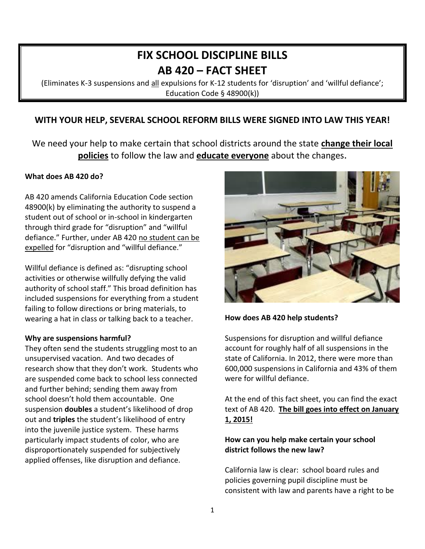# **FIX SCHOOL DISCIPLINE BILLS AB 420 – FACT SHEET**

(Eliminates K-3 suspensions and all expulsions for K-12 students for 'disruption' and 'willful defiance'; Education Code § 48900(k))

# **WITH YOUR HELP, SEVERAL SCHOOL REFORM BILLS WERE SIGNED INTO LAW THIS YEAR!**

We need your help to make certain that school districts around the state **change their local policies** to follow the law and **educate everyone** about the changes.

#### **What does AB 420 do?**

AB 420 amends California Education Code section 48900(k) by eliminating the authority to suspend a student out of school or in-school in kindergarten through third grade for "disruption" and "willful defiance." Further, under AB 420 no student can be expelled for "disruption and "willful defiance."

Willful defiance is defined as: "disrupting school activities or otherwise willfully defying the valid authority of school staff." This broad definition has included suspensions for everything from a student failing to follow directions or bring materials, to wearing a hat in class or talking back to a teacher.

#### **Why are suspensions harmful?**

They often send the students struggling most to an unsupervised vacation. And two decades of research show that they don't work. Students who are suspended come back to school less connected and further behind; sending them away from school doesn't hold them accountable.One suspension **doubles** a student's likelihood of drop out and **triples** the student's likelihood of entry into the juvenile justice system. These harms particularly impact students of color, who are disproportionately suspended for subjectively applied offenses, like disruption and defiance.



**How does AB 420 help students?**

Suspensions for disruption and willful defiance account for roughly half of all suspensions in the state of California. In 2012, there were more than 600,000 suspensions in California and 43% of them were for willful defiance.

At the end of this fact sheet, you can find the exact text of AB 420. **The bill goes into effect on January 1, 2015!**

### **How can you help make certain your school district follows the new law?**

California law is clear: school board rules and policies governing pupil discipline must be consistent with law and parents have a right to be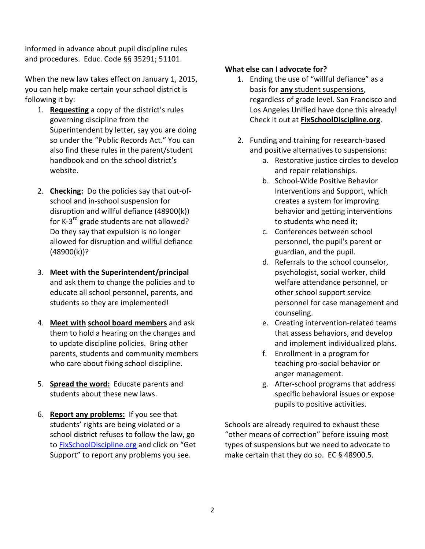informed in advance about pupil discipline rules and procedures. Educ. Code §§ 35291; 51101.

When the new law takes effect on January 1, 2015, you can help make certain your school district is following it by:

- 1. **Requesting** a copy of the district's rules governing discipline from the Superintendent by letter, say you are doing so under the "Public Records Act." You can also find these rules in the parent/student handbook and on the school district's website.
- 2. **Checking:** Do the policies say that out-ofschool and in-school suspension for disruption and willful defiance (48900(k)) for K-3<sup>rd</sup> grade students are not allowed? Do they say that expulsion is no longer allowed for disruption and willful defiance (48900(k))?
- 3. **Meet with the Superintendent/principal**  and ask them to change the policies and to educate all school personnel, parents, and students so they are implemented!
- 4. **Meet with school board members** and ask them to hold a hearing on the changes and to update discipline policies. Bring other parents, students and community members who care about fixing school discipline.
- 5. **Spread the word:** Educate parents and students about these new laws.
- 6. **Report any problems:** If you see that students' rights are being violated or a school district refuses to follow the law, go to [FixSchoolDiscipline.org](http://www.fixschooldiscipline.org/) and click on "Get Support" to report any problems you see.

# **What else can I advocate for?**

- 1. Ending the use of "willful defiance" as a basis for **any** student suspensions, regardless of grade level. San Francisco and Los Angeles Unified have done this already! Check it out at **FixSchoolDiscipline.org**.
- 2. Funding and training for research-based and positive alternatives to suspensions:
	- a. Restorative justice circles to develop and repair relationships.
	- b. School-Wide Positive Behavior Interventions and Support, which creates a system for improving behavior and getting interventions to students who need it;
	- c. Conferences between school personnel, the pupil's parent or guardian, and the pupil.
	- d. Referrals to the school counselor, psychologist, social worker, child welfare attendance personnel, or other school support service personnel for case management and counseling.
	- e. Creating intervention-related teams that assess behaviors, and develop and implement individualized plans.
	- f. Enrollment in a program for teaching pro-social behavior or anger management.
	- g. After-school programs that address specific behavioral issues or expose pupils to positive activities.

Schools are already required to exhaust these "other means of correction" before issuing most types of suspensions but we need to advocate to make certain that they do so. EC § 48900.5.